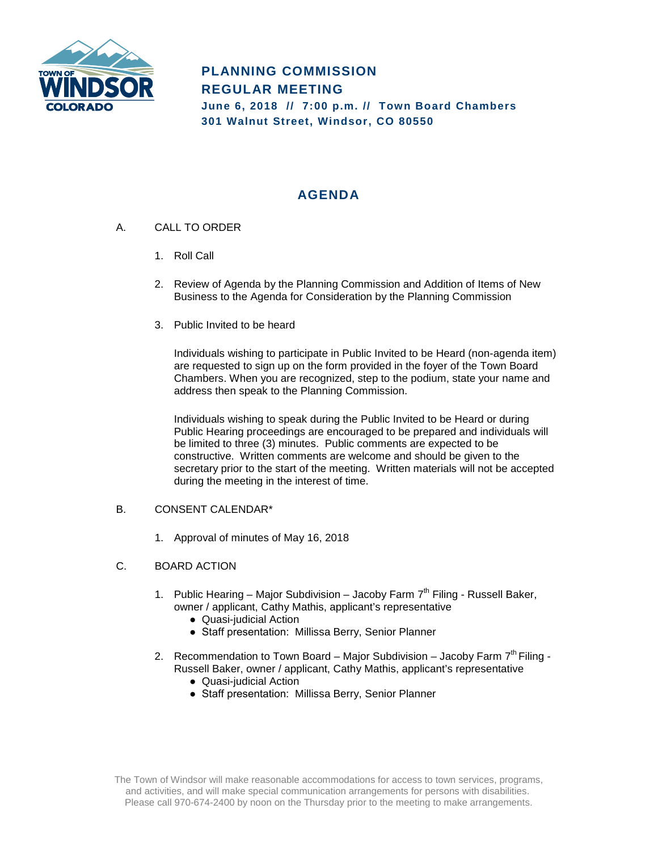

# **PLANNING COMMISSION REGULAR MEETING June 6, 2018 // 7:00 p.m. // Town Board Chambers 301 Walnut Street, Windsor, CO 80550**

# **AGENDA**

- A. CALL TO ORDER
	- 1. Roll Call
	- 2. Review of Agenda by the Planning Commission and Addition of Items of New Business to the Agenda for Consideration by the Planning Commission
	- 3. Public Invited to be heard

Individuals wishing to participate in Public Invited to be Heard (non-agenda item) are requested to sign up on the form provided in the foyer of the Town Board Chambers. When you are recognized, step to the podium, state your name and address then speak to the Planning Commission.

Individuals wishing to speak during the Public Invited to be Heard or during Public Hearing proceedings are encouraged to be prepared and individuals will be limited to three (3) minutes. Public comments are expected to be constructive. Written comments are welcome and should be given to the secretary prior to the start of the meeting. Written materials will not be accepted during the meeting in the interest of time.

### B. CONSENT CALENDAR\*

1. Approval of minutes of May 16, 2018

### C. BOARD ACTION

- 1. Public Hearing Major Subdivision Jacoby Farm  $7<sup>th</sup>$  Filing Russell Baker, owner / applicant, Cathy Mathis, applicant's representative
	- Quasi-judicial Action
	- Staff presentation: Millissa Berry, Senior Planner
- 2. Recommendation to Town Board Major Subdivision Jacoby Farm  $7<sup>th</sup>$  Filing -Russell Baker, owner / applicant, Cathy Mathis, applicant's representative
	- Quasi-judicial Action
	- Staff presentation: Millissa Berry, Senior Planner

The Town of Windsor will make reasonable accommodations for access to town services, programs, and activities, and will make special communication arrangements for persons with disabilities. Please call 970-674-2400 by noon on the Thursday prior to the meeting to make arrangements.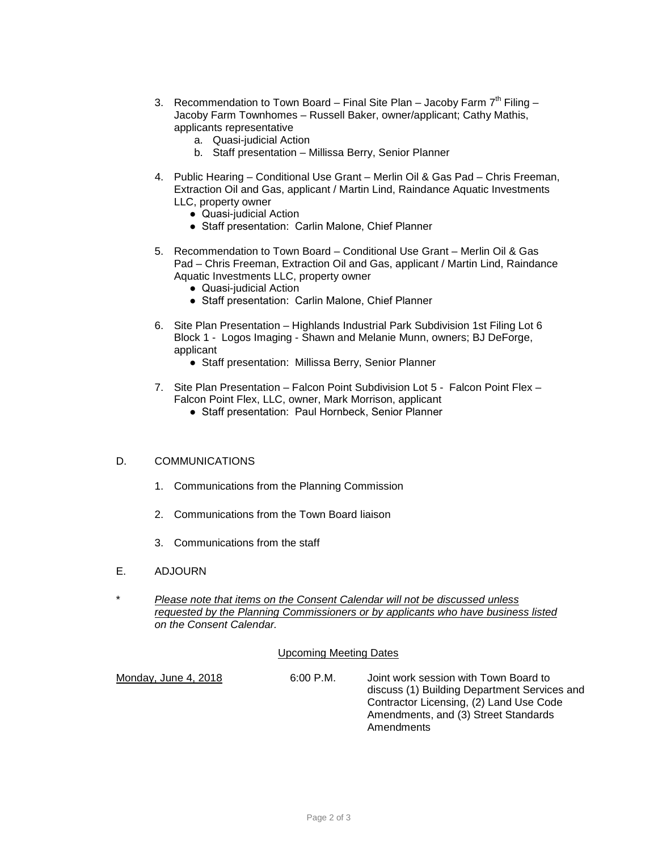- 3. Recommendation to Town Board Final Site Plan Jacoby Farm  $7<sup>th</sup>$  Filing Jacoby Farm Townhomes – Russell Baker, owner/applicant; Cathy Mathis, applicants representative
	- a. Quasi-judicial Action
	- b. Staff presentation Millissa Berry, Senior Planner
- 4. Public Hearing Conditional Use Grant Merlin Oil & Gas Pad Chris Freeman, Extraction Oil and Gas, applicant / Martin Lind, Raindance Aquatic Investments LLC, property owner
	- Quasi-judicial Action
	- Staff presentation: Carlin Malone, Chief Planner
- 5. Recommendation to Town Board Conditional Use Grant Merlin Oil & Gas Pad – Chris Freeman, Extraction Oil and Gas, applicant / Martin Lind, Raindance Aquatic Investments LLC, property owner
	- Quasi-judicial Action
	- Staff presentation: Carlin Malone, Chief Planner
- 6. Site Plan Presentation Highlands Industrial Park Subdivision 1st Filing Lot 6 Block 1 - Logos Imaging - Shawn and Melanie Munn, owners; BJ DeForge, applicant
	- Staff presentation: Millissa Berry, Senior Planner
- 7. Site Plan Presentation Falcon Point Subdivision Lot 5 Falcon Point Flex Falcon Point Flex, LLC, owner, Mark Morrison, applicant
	- Staff presentation: Paul Hornbeck, Senior Planner

### D. COMMUNICATIONS

- 1. Communications from the Planning Commission
- 2. Communications from the Town Board liaison
- 3. Communications from the staff
- E. ADJOURN
- \* *Please note that items on the Consent Calendar will not be discussed unless requested by the Planning Commissioners or by applicants who have business listed on the Consent Calendar.*

#### Upcoming Meeting Dates

Monday, June 4, 2018 6:00 P.M. Joint work session with Town Board to discuss (1) Building Department Services and Contractor Licensing, (2) Land Use Code Amendments, and (3) Street Standards Amendments